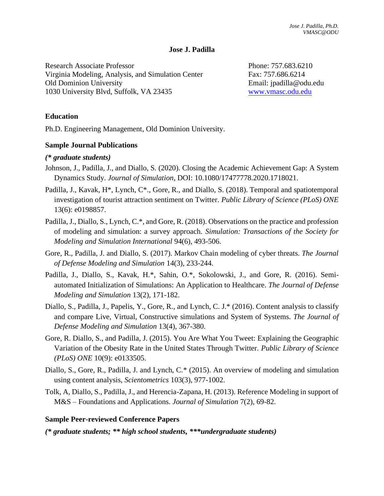#### **Jose J. Padilla**

Research Associate Professor Virginia Modeling, Analysis, and Simulation Center Old Dominion University 1030 University Blvd, Suffolk, VA 23435

Phone: 757.683.6210 Fax: 757.686.6214 Email: jpadilla@odu.edu [www.vmasc.odu.edu](http://www.vmasc.odu.edu/)

### **Education**

Ph.D. Engineering Management, Old Dominion University.

### **Sample Journal Publications**

#### *(\* graduate students)*

- Johnson, J., Padilla, J., and Diallo, S. (2020). Closing the Academic Achievement Gap: A System Dynamics Study. *Journal of Simulation*, DOI: 10.1080/17477778.2020.1718021.
- Padilla, J., Kavak, H\*, Lynch, C\*., Gore, R., and Diallo, S. (2018). Temporal and spatiotemporal investigation of tourist attraction sentiment on Twitter*. Public Library of Science (PLoS) ONE* 13(6): e0198857.
- Padilla, J., Diallo, S., Lynch, C.\*, and Gore, R. (2018). Observations on the practice and profession of modeling and simulation: a survey approach. *Simulation: Transactions of the Society for Modeling and Simulation International* 94(6), 493-506.
- Gore, R., Padilla, J. and Diallo, S. (2017). Markov Chain modeling of cyber threats. *The Journal of Defense Modeling and Simulation* 14(3), 233-244.
- Padilla, J., Diallo, S., Kavak, H.\*, Sahin, O.\*, Sokolowski, J., and Gore, R. (2016). Semiautomated Initialization of Simulations: An Application to Healthcare. *The Journal of Defense Modeling and Simulation* 13(2), 171-182.
- Diallo, S., Padilla, J., Papelis, Y., Gore, R., and Lynch, C. J.\* (2016). Content analysis to classify and compare Live, Virtual, Constructive simulations and System of Systems. *The Journal of Defense Modeling and Simulation* 13(4), 367-380.
- Gore, R. Diallo, S., and Padilla, J. (2015). You Are What You Tweet: Explaining the Geographic Variation of the Obesity Rate in the United States Through Twitter. *Public Library of Science (PLoS) ONE* 10(9): e0133505.
- Diallo, S., Gore, R., Padilla, J. and Lynch, C.\* (2015). An overview of modeling and simulation using content analysis, *Scientometrics* 103(3), 977-1002.
- Tolk, A, Diallo, S., Padilla, J., and Herencia-Zapana, H. (2013). Reference Modeling in support of M&S – Foundations and Applications. *Journal of Simulation* 7(2), 69-82.

#### **Sample Peer-reviewed Conference Papers**

*(\* graduate students; \*\* high school students, \*\*\*undergraduate students)*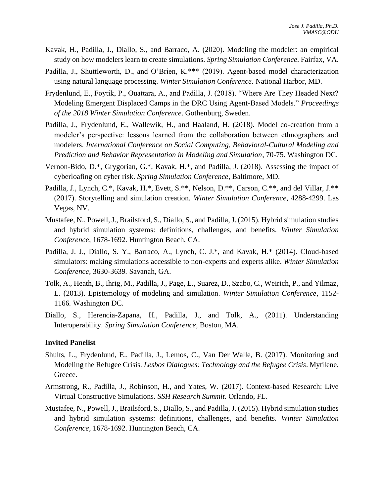- Kavak, H., Padilla, J., Diallo, S., and Barraco, A. (2020). Modeling the modeler: an empirical study on how modelers learn to create simulations. *Spring Simulation Conference.* Fairfax, VA.
- Padilla, J., Shuttleworth, D., and O'Brien, K.\*\*\* (2019). Agent-based model characterization using natural language processing. *Winter Simulation Conference.* National Harbor, MD.
- Frydenlund, E., Foytik, P., Ouattara, A., and Padilla, J. (2018). "Where Are They Headed Next? Modeling Emergent Displaced Camps in the DRC Using Agent-Based Models." *Proceedings of the 2018 Winter Simulation Conference*. Gothenburg, Sweden.
- Padilla, J., Frydenlund, E., Wallewik, H., and Haaland, H. (2018). Model co-creation from a modeler's perspective: lessons learned from the collaboration between ethnographers and modelers. *International Conference on Social Computing, Behavioral-Cultural Modeling and Prediction and Behavior Representation in Modeling and Simulation*, 70-75. Washington DC.
- Vernon-Bido, D.\*, Grygorian, G.\*, Kavak, H.\*, and Padilla, J. (2018). Assessing the impact of cyberloafing on cyber risk. *Spring Simulation Conference*, Baltimore, MD.
- Padilla, J., Lynch, C.\*, Kavak, H.\*, Evett, S.\*\*, Nelson, D.\*\*, Carson, C.\*\*, and del Villar, J.\*\* (2017). Storytelling and simulation creation. *Winter Simulation Conference,* 4288-4299. Las Vegas, NV.
- Mustafee, N., Powell, J., Brailsford, S., Diallo, S., and Padilla, J. (2015). Hybrid simulation studies and hybrid simulation systems: definitions, challenges, and benefits. *Winter Simulation Conference,* 1678-1692. Huntington Beach, CA.
- Padilla, J. J., Diallo, S. Y., Barraco, A., Lynch, C. J.\*, and Kavak, H.\* (2014). Cloud-based simulators: making simulations accessible to non-experts and experts alike. *Winter Simulation Conference,* 3630-3639*.* Savanah, GA.
- Tolk, A., Heath, B., Ihrig, M., Padilla, J., Page, E., Suarez, D., Szabo, C., Weirich, P., and Yilmaz, L. (2013). Epistemology of modeling and simulation. *Winter Simulation Conference,* 1152- 1166*.* Washington DC.
- Diallo, S., Herencia-Zapana, H., Padilla, J., and Tolk, A., (2011). Understanding Interoperability. *Spring Simulation Conference*, Boston, MA.

#### **Invited Panelist**

- Shults, L., Frydenlund, E., Padilla, J., Lemos, C., Van Der Walle, B. (2017). Monitoring and Modeling the Refugee Crisis*. Lesbos Dialogues: Technology and the Refugee Crisis*. Mytilene, Greece.
- Armstrong, R., Padilla, J., Robinson, H., and Yates, W. (2017). Context-based Research: Live Virtual Constructive Simulations. *SSH Research Summit.* Orlando, FL.
- Mustafee, N., Powell, J., Brailsford, S., Diallo, S., and Padilla, J. (2015). Hybrid simulation studies and hybrid simulation systems: definitions, challenges, and benefits. *Winter Simulation Conference,* 1678-1692. Huntington Beach, CA.